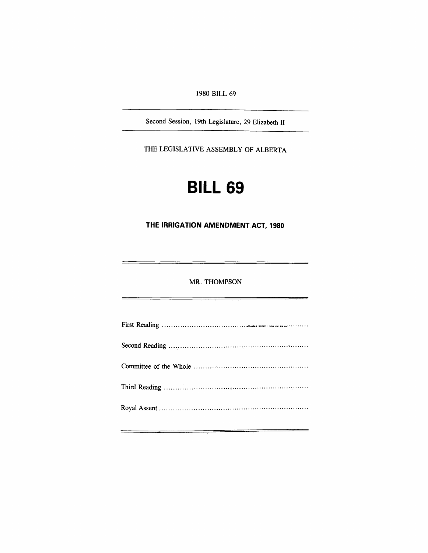1980 BILL 69

Second Session, 19th Legislature, 29 Elizabeth II

THE LEGISLATIVE ASSEMBLY OF ALBERTA

# **BILL 69**

**THE IRRIGATION** AMENDMENT. ACT, **1980** 

MR. THOMPSON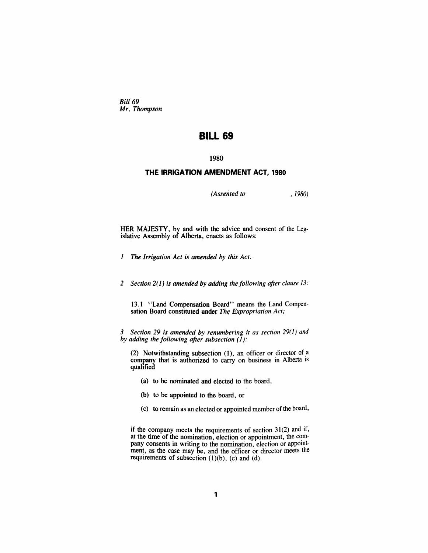Bill<sub>69</sub> *Mr, Thompson* 

# **BILL 69**

1980

## **THE IRRIGATION AMENDMENT ACT, 1980**

*(Assented to* , 1980)

HER MAJESTY, by and with the advice and consent of the Legislative Assembly of Alberta, enacts as follows:

- *1 The Irrigation Act is amended by this Act.*
- *2 Section* 2(1) *is amended by adding the following after clause* 13:

13.1 ~'Land Compensation Board" means the Land Compensation Board constituted under The Expropriation Act;

*3 Section* 29 *is amended by renumbering it as section* 29(1) *and by adding the following after subsection* (1):

(2) Notwithstanding subsection (1), an officer or director of a company that is authorized to carry on business in Alberta is qualified

- (a) to be nominated and elected to the board,
- (b) to be appointed to the board, or
- (c) to remain as an elected or appointed member of the board,

if the company meets the requirements of section 31(2) and if, at the time of the nomination, election or appointment, the company consents in writing to the nomination, election or appointment, as the case may be, and the officer or director meets the requirements of subsection  $(1)(b)$ ,  $(c)$  and  $(d)$ .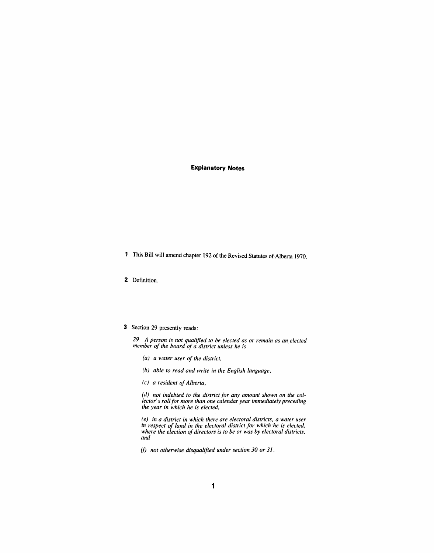### **Explanatory Notes**

- 1 This Bill will amend chapter 192 of the Revised Statutes of Alberta 1970.
- 2 Definition.
- 3 Section 29 presently reads:

*29 A person is not qualified to be elected as or remain as an elected member of the board of a district unless he is* 

- *(a) a water user of the district,*
- *(b) able to read and write in the English language,*
- *(c) a resident of Alberta,*

*(d) not indebted to the district for any amount shown on the collector's roll for more than one calendar year immediately preceding the year in which he is elected,* 

*(e) in a district in which there are electoral districts, a water user in respect of land in the electoral district for which he is elected, where the election of directors is to be or was by electoral districts, and* 

*if) not otherwise disqualified under section 30 or* 31 .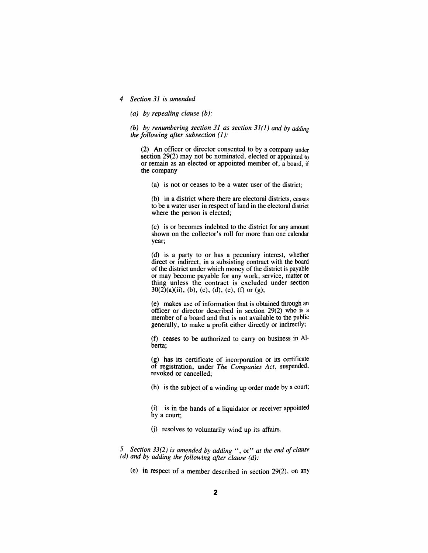#### *4 Section* 31 *is amended*

( *a) by repealing clause (b) ..* 

*(b) by renumbering section 31 as section 31(1) and by adding the following after subsection* (1):

(2) An officer or director consented to by a company under section 29(2) may not be nominated, elected or appointed to or remain as an elected or appointed member of, a board, if the company

(a) is not or ceases to be a water user of the district;

(b) in a district where there are electoral districts, ceases to be a water user in respect of land in the electoral district where the person is elected;

(c) is or becomes indebted to the district for any amount shown on the collector's roll for more than one calendar year;

(d) is a party to or has a pecuniary interest, whether direct or indirect, in a subsisting contract with the board of the district under which money of the district is payable or may become payable for any work, service, matter or thing unless the contract is excluded under section  $30(2)(a)(ii)$ , (b), (c), (d), (e), (f) or (g);

(e) makes use of information that is obtained through an officer or director described in section 29(2) who is a member of a board and that is not available to the public generally, to make a profit either directly or indirectly;

 $(f)$  ceases to be authorized to carry on business in Alberta;

(g) has its certificate of incorporation or its certificate of registration, under *The Companies Act,* suspended, revoked or cancelled;

(h) is the subject of a winding up order made by a court;

(i) is in the hands of a liquidator or receiver appointed by a court;

(j) resolves to voluntarily wind up its affairs.

*5 Section* 33(2) *is amended by adding"* , or" *at the end of clause (d) and by adding the following after clause (d):* 

(e) in respect of a member described in section 29(2), on any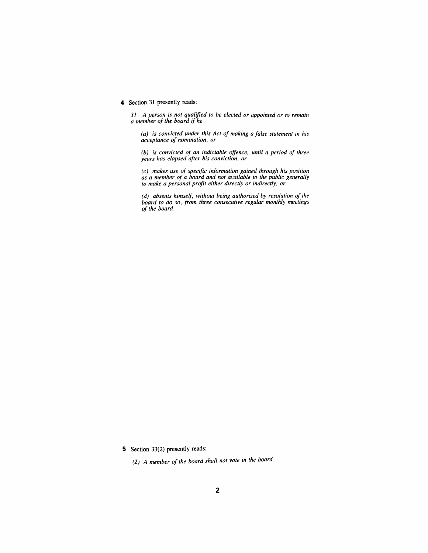#### 4 Section 31 presently reads:

*31 A person is not qualified to be elected or appointed or* to *remain a member of the board if he* 

*(a) is convicted under this Act of making a false statement in his acceptance of nomination, or* 

*(b) is convicted of an indictable offence, until a period of three years has elapsed after his conviction, or* 

*(c) makes use of specific information gained through his position as a member of a board and not available to the public generally to make a personal profit either directly or indirectly, or* 

*(d) absents himself, without being authorized by resolution of the board to do so, from three consecutive regular monthly meetings of the board.* 

5 Section 33(2) presently reads:

*(2) A member of the board shall not vote in the board*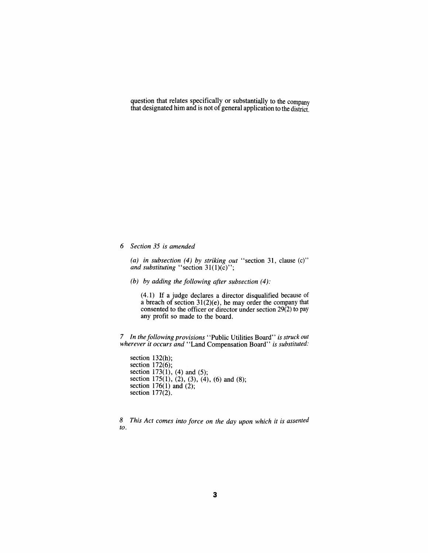question that relates specifically or substantially to the company that designated him and is not of general application to the district.

*6 Section* 35 *is amended* 

*(a) in subsection* (4) *by striking out* "section 31, clause (c)" *and substituting* "section 31(1)(c)";

*(b) by adding the following after subsection* (4):

(4.1) If a judge declares a director disqualified because of a breach of section 31(2)(e), he may order the company that consented to the officer or director under section 29(2) to pay any profit so made to the board.

7 *In the following provisions* "Public Utilities Board" *is struck out wherever it occurs and* "Land Compensation Board" *is substituted:* 

section 132(h); section  $172(6)$ ; section 173(1), (4) and (5); section 175(1), (2), (3), (4), (6) and (8); section  $176(1)$  and  $(2)$ ; section 177(2).

*8 This Act comes into force on the day upon which it is assented to.*